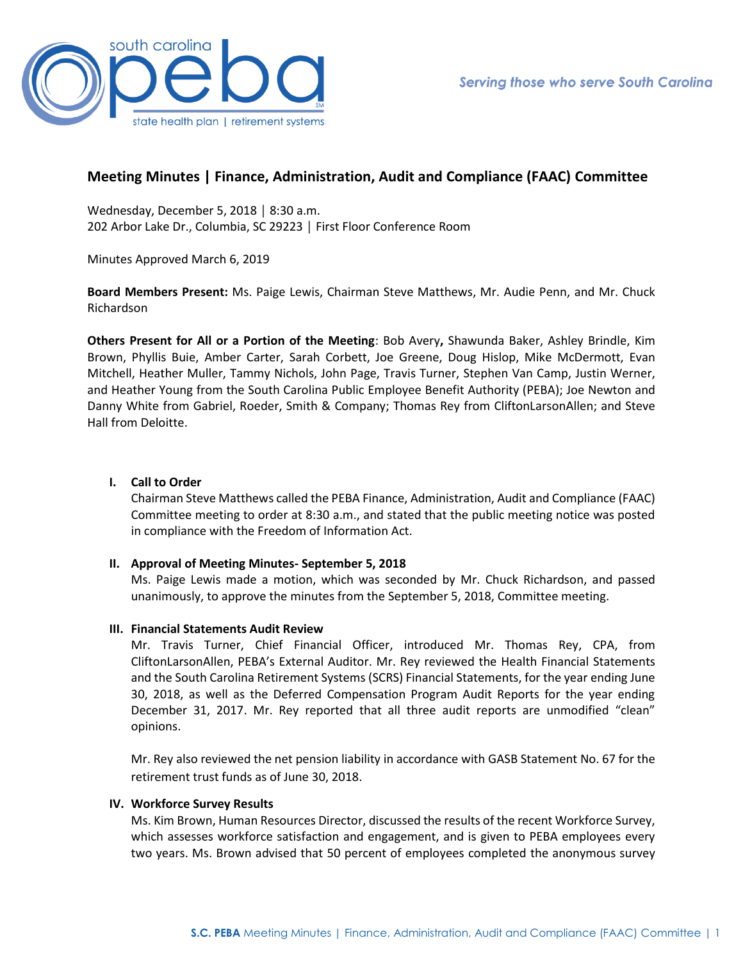

# **Meeting Minutes | Finance, Administration, Audit and Compliance (FAAC) Committee**

Wednesday, December 5, 2018 │ 8:30 a.m. 202 Arbor Lake Dr., Columbia, SC 29223 │ First Floor Conference Room

Minutes Approved March 6, 2019

**Board Members Present:** Ms. Paige Lewis, Chairman Steve Matthews, Mr. Audie Penn, and Mr. Chuck Richardson

**Others Present for All or a Portion of the Meeting**: Bob Avery**,** Shawunda Baker, Ashley Brindle, Kim Brown, Phyllis Buie, Amber Carter, Sarah Corbett, Joe Greene, Doug Hislop, Mike McDermott, Evan Mitchell, Heather Muller, Tammy Nichols, John Page, Travis Turner, Stephen Van Camp, Justin Werner, and Heather Young from the South Carolina Public Employee Benefit Authority (PEBA); Joe Newton and Danny White from Gabriel, Roeder, Smith & Company; Thomas Rey from CliftonLarsonAllen; and Steve Hall from Deloitte.

## **I. Call to Order**

Chairman Steve Matthews called the PEBA Finance, Administration, Audit and Compliance (FAAC) Committee meeting to order at 8:30 a.m., and stated that the public meeting notice was posted in compliance with the Freedom of Information Act.

#### **II. Approval of Meeting Minutes- September 5, 2018**

Ms. Paige Lewis made a motion, which was seconded by Mr. Chuck Richardson, and passed unanimously, to approve the minutes from the September 5, 2018, Committee meeting.

#### **III. Financial Statements Audit Review**

Mr. Travis Turner, Chief Financial Officer, introduced Mr. Thomas Rey, CPA, from CliftonLarsonAllen, PEBA's External Auditor. Mr. Rey reviewed the Health Financial Statements and the South Carolina Retirement Systems (SCRS) Financial Statements, for the year ending June 30, 2018, as well as the Deferred Compensation Program Audit Reports for the year ending December 31, 2017. Mr. Rey reported that all three audit reports are unmodified "clean" opinions.

Mr. Rey also reviewed the net pension liability in accordance with GASB Statement No. 67 for the retirement trust funds as of June 30, 2018.

#### **IV. Workforce Survey Results**

Ms. Kim Brown, Human Resources Director, discussed the results of the recent Workforce Survey, which assesses workforce satisfaction and engagement, and is given to PEBA employees every two years. Ms. Brown advised that 50 percent of employees completed the anonymous survey